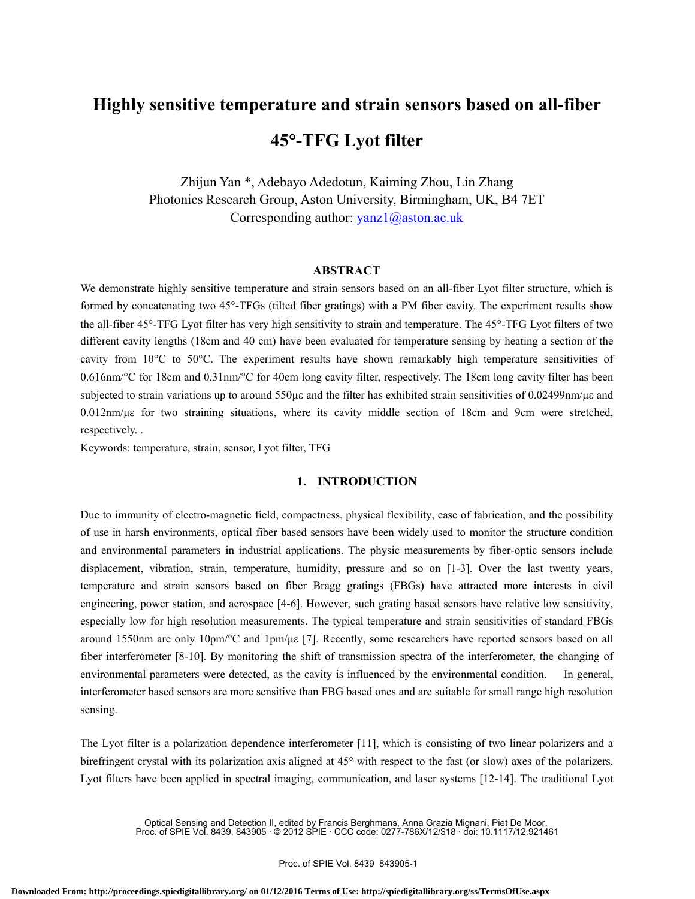# **Highly sensitive temperature and strain sensors based on all-fiber 45**°**-TFG Lyot filter**

Zhijun Yan \*, Adebayo Adedotun, Kaiming Zhou, Lin Zhang Photonics Research Group, Aston University, Birmingham, UK, B4 7ET Corresponding author: yanz1@aston.ac.uk

# **ABSTRACT**

We demonstrate highly sensitive temperature and strain sensors based on an all-fiber Lyot filter structure, which is formed by concatenating two 45°-TFGs (tilted fiber gratings) with a PM fiber cavity. The experiment results show the all-fiber 45°-TFG Lyot filter has very high sensitivity to strain and temperature. The 45°-TFG Lyot filters of two different cavity lengths (18cm and 40 cm) have been evaluated for temperature sensing by heating a section of the cavity from 10°C to 50°C. The experiment results have shown remarkably high temperature sensitivities of 0.616nm/°C for 18cm and 0.31nm/°C for 40cm long cavity filter, respectively. The 18cm long cavity filter has been subjected to strain variations up to around 550με and the filter has exhibited strain sensitivities of 0.02499nm/με and 0.012nm/με for two straining situations, where its cavity middle section of 18cm and 9cm were stretched, respectively. .

Keywords: temperature, strain, sensor, Lyot filter, TFG

# **1. INTRODUCTION**

Due to immunity of electro-magnetic field, compactness, physical flexibility, ease of fabrication, and the possibility of use in harsh environments, optical fiber based sensors have been widely used to monitor the structure condition and environmental parameters in industrial applications. The physic measurements by fiber-optic sensors include displacement, vibration, strain, temperature, humidity, pressure and so on [1-3]. Over the last twenty years, temperature and strain sensors based on fiber Bragg gratings (FBGs) have attracted more interests in civil engineering, power station, and aerospace [4-6]. However, such grating based sensors have relative low sensitivity, especially low for high resolution measurements. The typical temperature and strain sensitivities of standard FBGs around 1550nm are only 10pm/°C and 1pm/με [7]. Recently, some researchers have reported sensors based on all fiber interferometer [8-10]. By monitoring the shift of transmission spectra of the interferometer, the changing of environmental parameters were detected, as the cavity is influenced by the environmental condition. In general, interferometer based sensors are more sensitive than FBG based ones and are suitable for small range high resolution sensing.

The Lyot filter is a polarization dependence interferometer [11], which is consisting of two linear polarizers and a birefringent crystal with its polarization axis aligned at 45° with respect to the fast (or slow) axes of the polarizers. Lyot filters have been applied in spectral imaging, communication, and laser systems [12-14]. The traditional Lyot

> Optical Sensing and Detection II, edited by Francis Berghmans, Anna Grazia Mignani, Piet De Moor, Proc. of SPIE Vol. 8439, 843905 · © 2012 SPIE · CCC code: 0277-786X/12/\$18 · doi: 10.1117/12.921461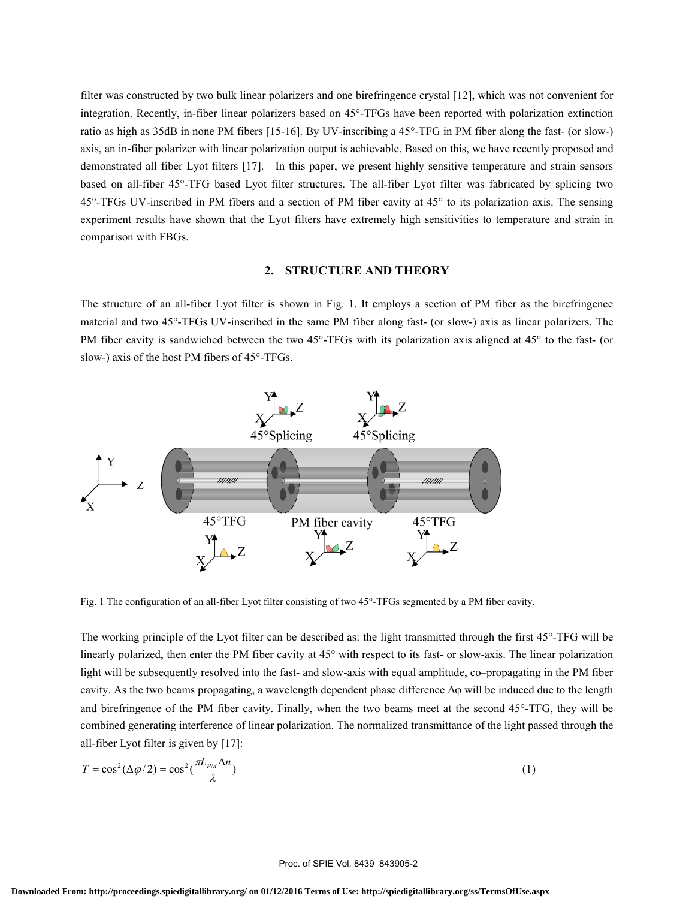filter was constructed by two bulk linear polarizers and one birefringence crystal [12], which was not convenient for integration. Recently, in-fiber linear polarizers based on 45°-TFGs have been reported with polarization extinction ratio as high as 35dB in none PM fibers [15-16]. By UV-inscribing a 45°-TFG in PM fiber along the fast- (or slow-) axis, an in-fiber polarizer with linear polarization output is achievable. Based on this, we have recently proposed and demonstrated all fiber Lyot filters [17]. In this paper, we present highly sensitive temperature and strain sensors based on all-fiber 45°-TFG based Lyot filter structures. The all-fiber Lyot filter was fabricated by splicing two 45°-TFGs UV-inscribed in PM fibers and a section of PM fiber cavity at 45° to its polarization axis. The sensing experiment results have shown that the Lyot filters have extremely high sensitivities to temperature and strain in comparison with FBGs.

## **2. STRUCTURE AND THEORY**

The structure of an all-fiber Lyot filter is shown in Fig. 1. It employs a section of PM fiber as the birefringence material and two 45°-TFGs UV-inscribed in the same PM fiber along fast- (or slow-) axis as linear polarizers. The PM fiber cavity is sandwiched between the two 45°-TFGs with its polarization axis aligned at 45° to the fast- (or slow-) axis of the host PM fibers of 45°-TFGs.



Fig. 1 The configuration of an all-fiber Lyot filter consisting of two 45°-TFGs segmented by a PM fiber cavity.

The working principle of the Lyot filter can be described as: the light transmitted through the first 45°-TFG will be linearly polarized, then enter the PM fiber cavity at 45° with respect to its fast- or slow-axis. The linear polarization light will be subsequently resolved into the fast- and slow-axis with equal amplitude, co–propagating in the PM fiber cavity. As the two beams propagating, a wavelength dependent phase difference Δφ will be induced due to the length and birefringence of the PM fiber cavity. Finally, when the two beams meet at the second 45°-TFG, they will be combined generating interference of linear polarization. The normalized transmittance of the light passed through the all-fiber Lyot filter is given by [17]:

$$
T = \cos^2(\Delta \varphi / 2) = \cos^2(\frac{\pi L_{PM} \Delta n}{\lambda})
$$
\n(1)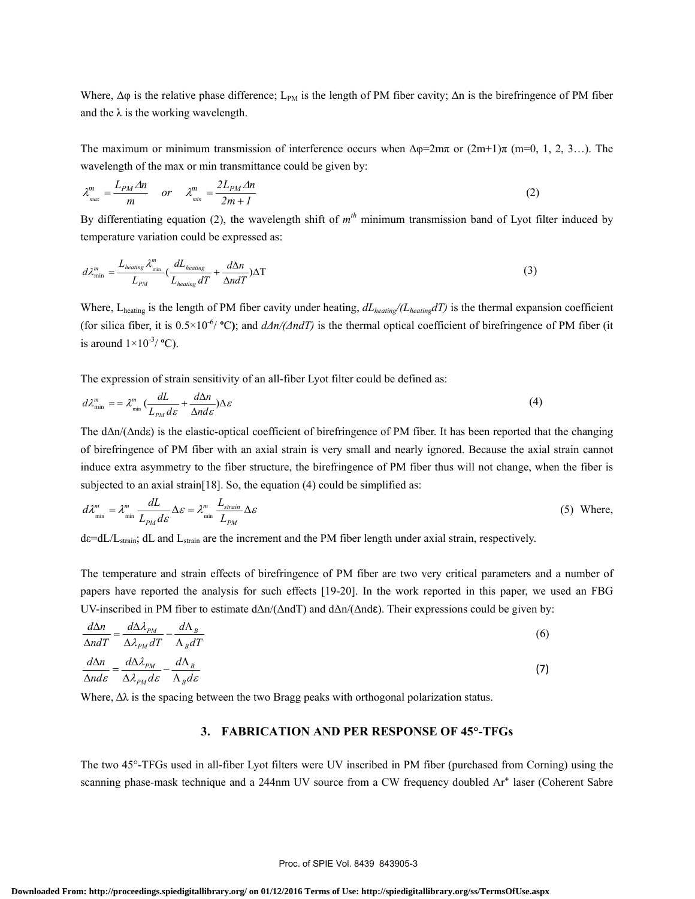Where,  $\Delta\varphi$  is the relative phase difference; L<sub>PM</sub> is the length of PM fiber cavity;  $\Delta n$  is the birefringence of PM fiber and the  $\lambda$  is the working wavelength.

The maximum or minimum transmission of interference occurs when  $\Delta \varphi = 2m\pi$  or  $(2m+1)\pi$  (m=0, 1, 2, 3…). The wavelength of the max or min transmittance could be given by:

$$
\lambda_{\max}^m = \frac{L_{PM} \Delta n}{m} \quad or \quad \lambda_{\min}^m = \frac{2L_{PM} \Delta n}{2m + 1} \tag{2}
$$

By differentiating equation (2), the wavelength shift of  $m<sup>th</sup>$  minimum transmission band of Lyot filter induced by temperature variation could be expressed as:

$$
d\lambda_{\min}^{m} = \frac{L_{heating} \lambda_{\min}^{m}}{L_{PM}} \left(\frac{dL_{heating}}{L_{heating} dT} + \frac{d\Delta n}{\Delta ndT}\right) \Delta T
$$
\n(3)

Where, L<sub>heating</sub> is the length of PM fiber cavity under heating,  $dL_{\text{heating}}/(\text{L}_{\text{heating}}dT)$  is the thermal expansion coefficient (for silica fiber, it is  $0.5\times10^{-6}$  °C); and  $dAn/(AndT)$  is the thermal optical coefficient of birefringence of PM fiber (it is around  $1 \times 10^{-3}$ / $\text{°C}$ ).

The expression of strain sensitivity of an all-fiber Lyot filter could be defined as:

$$
d\lambda_{\min}^m = \lambda_{\min}^m \left( \frac{dL}{L_{PM} d\varepsilon} + \frac{d\Delta n}{\Delta nd\varepsilon} \right) \Delta \varepsilon \tag{4}
$$

 The dΔn/(Δndε) is the elastic-optical coefficient of birefringence of PM fiber. It has been reported that the changing of birefringence of PM fiber with an axial strain is very small and nearly ignored. Because the axial strain cannot induce extra asymmetry to the fiber structure, the birefringence of PM fiber thus will not change, when the fiber is subjected to an axial strain [18]. So, the equation (4) could be simplified as:

$$
d\lambda_{\min}^m = \lambda_{\min}^m \frac{dL}{L_{PM} d\varepsilon} \Delta \varepsilon = \lambda_{\min}^m \frac{L_{\text{strain}}}{L_{PM}} \Delta \varepsilon
$$
 (5) Where,

dε=dL/Lstrain; dL and Lstrain are the increment and the PM fiber length under axial strain, respectively.

The temperature and strain effects of birefringence of PM fiber are two very critical parameters and a number of papers have reported the analysis for such effects [19-20]. In the work reported in this paper, we used an FBG UV-inscribed in PM fiber to estimate dΔn/(ΔndT) and dΔn/(Δndε). Their expressions could be given by:

$$
\frac{d\Delta n}{\Delta ndT} = \frac{d\Delta \lambda_{PM}}{\Delta \lambda_{PM} dT} - \frac{d\Lambda_B}{\Lambda_B dT}
$$
\n
$$
\frac{d\Delta n}{\Delta nd\varepsilon} = \frac{d\Delta \lambda_{PM}}{\Delta \lambda_{PM} d\varepsilon} - \frac{d\Lambda_B}{\Lambda_B d\varepsilon}
$$
\n(7)

$$
\Delta nd\varepsilon \quad \Delta \lambda_{PM} d\varepsilon \quad \Lambda_B d\varepsilon
$$

Where,  $\Delta\lambda$  is the spacing between the two Bragg peaks with orthogonal polarization status.

## **3. FABRICATION AND PER RESPONSE OF 45**°**-TFGs**

The two 45°-TFGs used in all-fiber Lyot filters were UV inscribed in PM fiber (purchased from Corning) using the scanning phase-mask technique and a 244nm UV source from a CW frequency doubled Ar<sup>+</sup> laser (Coherent Sabre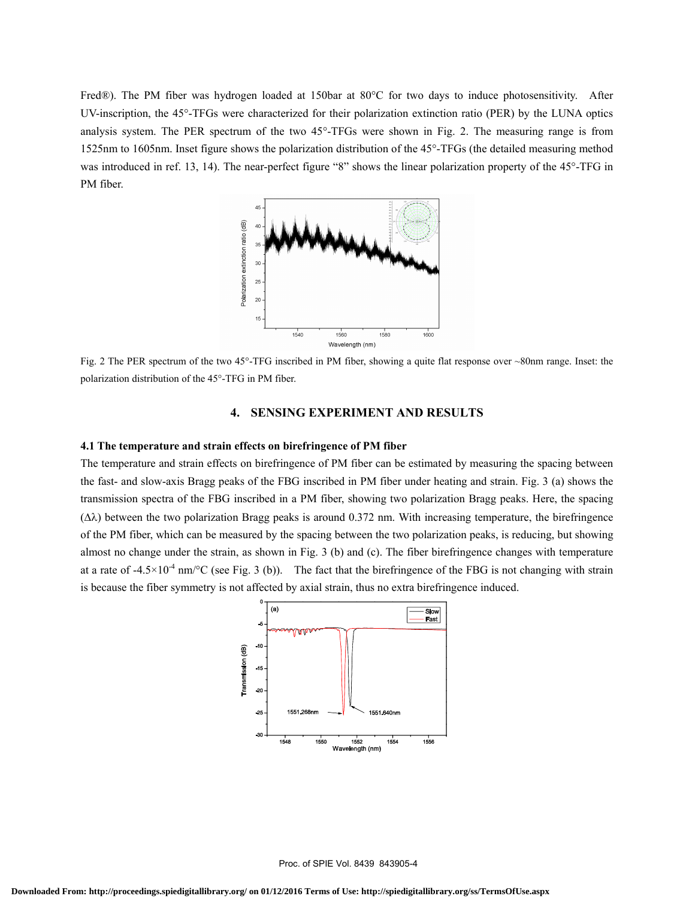Fred®). The PM fiber was hydrogen loaded at 150bar at 80°C for two days to induce photosensitivity. After UV-inscription, the 45°-TFGs were characterized for their polarization extinction ratio (PER) by the LUNA optics analysis system. The PER spectrum of the two 45°-TFGs were shown in Fig. 2. The measuring range is from 1525nm to 1605nm. Inset figure shows the polarization distribution of the 45°-TFGs (the detailed measuring method was introduced in ref. 13, 14). The near-perfect figure "8" shows the linear polarization property of the 45°-TFG in PM fiber.



Fig. 2 The PER spectrum of the two 45°-TFG inscribed in PM fiber, showing a quite flat response over ~80nm range. Inset: the polarization distribution of the 45°-TFG in PM fiber.

# **4. SENSING EXPERIMENT AND RESULTS**

#### **4.1 The temperature and strain effects on birefringence of PM fiber**

The temperature and strain effects on birefringence of PM fiber can be estimated by measuring the spacing between the fast- and slow-axis Bragg peaks of the FBG inscribed in PM fiber under heating and strain. Fig. 3 (a) shows the transmission spectra of the FBG inscribed in a PM fiber, showing two polarization Bragg peaks. Here, the spacing (Δλ) between the two polarization Bragg peaks is around 0.372 nm. With increasing temperature, the birefringence of the PM fiber, which can be measured by the spacing between the two polarization peaks, is reducing, but showing almost no change under the strain, as shown in Fig. 3 (b) and (c). The fiber birefringence changes with temperature at a rate of  $-4.5\times10^{-4}$  nm/°C (see Fig. 3 (b)). The fact that the birefringence of the FBG is not changing with strain is because the fiber symmetry is not affected by axial strain, thus no extra birefringence induced.

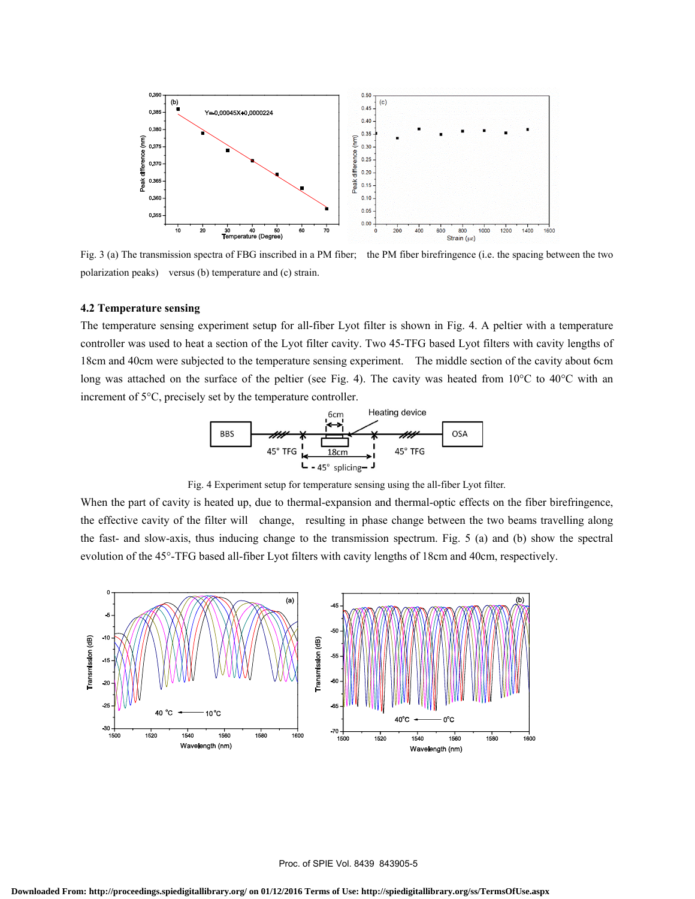

Fig. 3 (a) The transmission spectra of FBG inscribed in a PM fiber; the PM fiber birefringence (i.e. the spacing between the two polarization peaks) versus (b) temperature and (c) strain.

#### **4.2 Temperature sensing**

The temperature sensing experiment setup for all-fiber Lyot filter is shown in Fig. 4. A peltier with a temperature controller was used to heat a section of the Lyot filter cavity. Two 45-TFG based Lyot filters with cavity lengths of 18cm and 40cm were subjected to the temperature sensing experiment. The middle section of the cavity about 6cm long was attached on the surface of the peltier (see Fig. 4). The cavity was heated from 10°C to 40°C with an increment of 5°C, precisely set by the temperature controller.



When the part of cavity is heated up, due to thermal-expansion and thermal-optic effects on the fiber birefringence, the effective cavity of the filter will change, resulting in phase change between the two beams travelling along the fast- and slow-axis, thus inducing change to the transmission spectrum. Fig. 5 (a) and (b) show the spectral evolution of the 45°-TFG based all-fiber Lyot filters with cavity lengths of 18cm and 40cm, respectively.

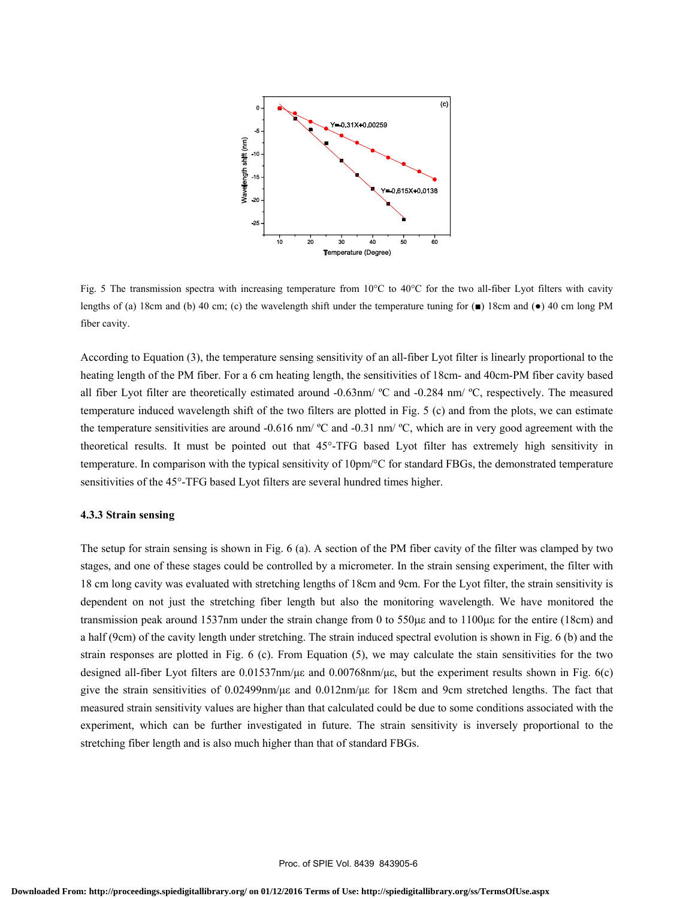

Fig. 5 The transmission spectra with increasing temperature from 10°C to 40°C for the two all-fiber Lyot filters with cavity lengths of (a) 18cm and (b) 40 cm; (c) the wavelength shift under the temperature tuning for  $(\blacksquare)$  18cm and  $(\lozenge)$  40 cm long PM fiber cavity.

According to Equation (3), the temperature sensing sensitivity of an all-fiber Lyot filter is linearly proportional to the heating length of the PM fiber. For a 6 cm heating length, the sensitivities of 18cm- and 40cm-PM fiber cavity based all fiber Lyot filter are theoretically estimated around -0.63nm/ ºC and -0.284 nm/ ºC, respectively. The measured temperature induced wavelength shift of the two filters are plotted in Fig. 5 (c) and from the plots, we can estimate the temperature sensitivities are around -0.616 nm/ ºC and -0.31 nm/ ºC, which are in very good agreement with the theoretical results. It must be pointed out that 45°-TFG based Lyot filter has extremely high sensitivity in temperature. In comparison with the typical sensitivity of 10pm/°C for standard FBGs, the demonstrated temperature sensitivities of the 45°-TFG based Lyot filters are several hundred times higher.

#### **4.3.3 Strain sensing**

The setup for strain sensing is shown in Fig. 6 (a). A section of the PM fiber cavity of the filter was clamped by two stages, and one of these stages could be controlled by a micrometer. In the strain sensing experiment, the filter with 18 cm long cavity was evaluated with stretching lengths of 18cm and 9cm. For the Lyot filter, the strain sensitivity is dependent on not just the stretching fiber length but also the monitoring wavelength. We have monitored the transmission peak around 1537nm under the strain change from 0 to 550με and to 1100με for the entire (18cm) and a half (9cm) of the cavity length under stretching. The strain induced spectral evolution is shown in Fig. 6 (b) and the strain responses are plotted in Fig. 6 (c). From Equation (5), we may calculate the stain sensitivities for the two designed all-fiber Lyot filters are 0.01537nm/με and 0.00768nm/με, but the experiment results shown in Fig. 6(c) give the strain sensitivities of 0.02499nm/με and 0.012nm/με for 18cm and 9cm stretched lengths. The fact that measured strain sensitivity values are higher than that calculated could be due to some conditions associated with the experiment, which can be further investigated in future. The strain sensitivity is inversely proportional to the stretching fiber length and is also much higher than that of standard FBGs.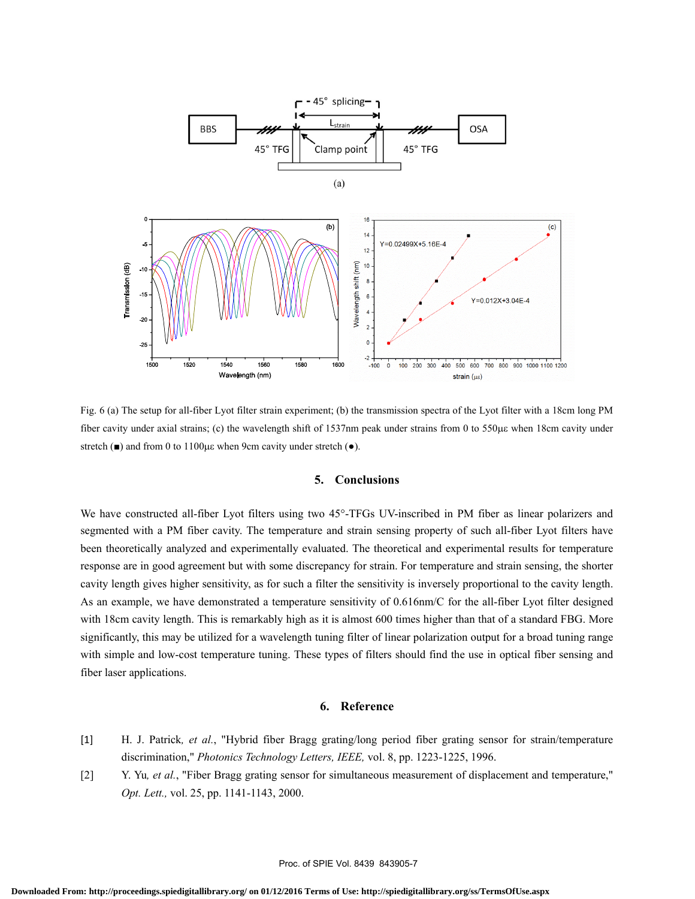

Fig. 6 (a) The setup for all-fiber Lyot filter strain experiment; (b) the transmission spectra of the Lyot filter with a 18cm long PM fiber cavity under axial strains; (c) the wavelength shift of 1537nm peak under strains from 0 to 550με when 18cm cavity under stretch ( $\blacksquare$ ) and from 0 to 1100με when 9cm cavity under stretch ( $\lozenge$ ).

## **5. Conclusions**

We have constructed all-fiber Lyot filters using two 45°-TFGs UV-inscribed in PM fiber as linear polarizers and segmented with a PM fiber cavity. The temperature and strain sensing property of such all-fiber Lyot filters have been theoretically analyzed and experimentally evaluated. The theoretical and experimental results for temperature response are in good agreement but with some discrepancy for strain. For temperature and strain sensing, the shorter cavity length gives higher sensitivity, as for such a filter the sensitivity is inversely proportional to the cavity length. As an example, we have demonstrated a temperature sensitivity of 0.616nm/C for the all-fiber Lyot filter designed with 18cm cavity length. This is remarkably high as it is almost 600 times higher than that of a standard FBG. More significantly, this may be utilized for a wavelength tuning filter of linear polarization output for a broad tuning range with simple and low-cost temperature tuning. These types of filters should find the use in optical fiber sensing and fiber laser applications.

## **6. Reference**

- [1] H. J. Patrick*, et al.*, "Hybrid fiber Bragg grating/long period fiber grating sensor for strain/temperature discrimination," *Photonics Technology Letters, IEEE,* vol. 8, pp. 1223-1225, 1996.
- [2] Y. Yu*, et al.*, "Fiber Bragg grating sensor for simultaneous measurement of displacement and temperature," *Opt. Lett.,* vol. 25, pp. 1141-1143, 2000.